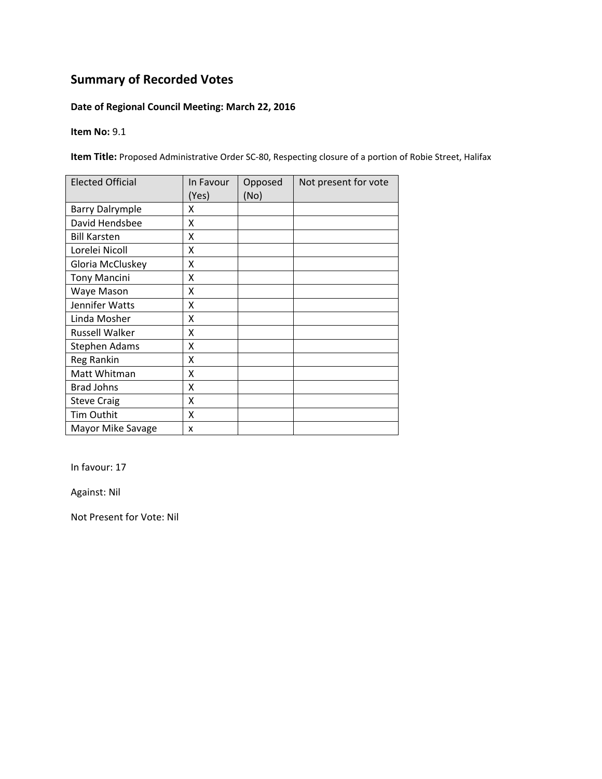## **Date of Regional Council Meeting: March 22, 2016**

**Item No:** 9.1

**Item Title:** Proposed Administrative Order SC‐80, Respecting closure of a portion of Robie Street, Halifax

| <b>Elected Official</b> | In Favour<br>(Yes) | Opposed<br>(No) | Not present for vote |
|-------------------------|--------------------|-----------------|----------------------|
| <b>Barry Dalrymple</b>  | x                  |                 |                      |
| David Hendsbee          | X                  |                 |                      |
| <b>Bill Karsten</b>     | X                  |                 |                      |
| Lorelei Nicoll          | X                  |                 |                      |
| Gloria McCluskey        | Χ                  |                 |                      |
| <b>Tony Mancini</b>     | Χ                  |                 |                      |
| Waye Mason              | x                  |                 |                      |
| Jennifer Watts          | x                  |                 |                      |
| Linda Mosher            | X                  |                 |                      |
| Russell Walker          | X                  |                 |                      |
| <b>Stephen Adams</b>    | X                  |                 |                      |
| Reg Rankin              | X                  |                 |                      |
| Matt Whitman            | X                  |                 |                      |
| <b>Brad Johns</b>       | X                  |                 |                      |
| <b>Steve Craig</b>      | X                  |                 |                      |
| Tim Outhit              | X                  |                 |                      |
| Mayor Mike Savage       | x                  |                 |                      |

In favour: 17

Against: Nil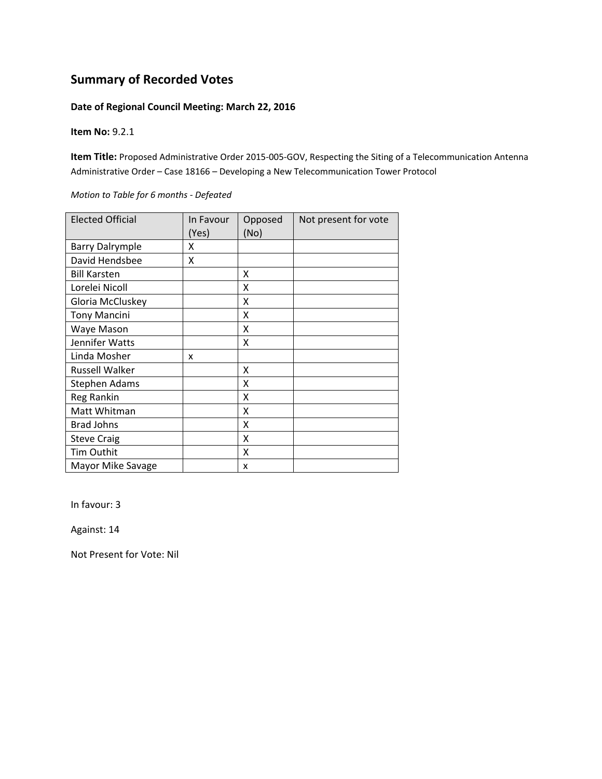#### **Date of Regional Council Meeting: March 22, 2016**

**Item No:** 9.2.1

**Item Title:** Proposed Administrative Order 2015‐005‐GOV, Respecting the Siting of a Telecommunication Antenna Administrative Order – Case 18166 – Developing a New Telecommunication Tower Protocol

*Motion to Table for 6 months ‐ Defeated*

| <b>Elected Official</b> | In Favour<br>(Yes) | Opposed<br>(No) | Not present for vote |
|-------------------------|--------------------|-----------------|----------------------|
| <b>Barry Dalrymple</b>  | x                  |                 |                      |
| David Hendsbee          | X                  |                 |                      |
| <b>Bill Karsten</b>     |                    | X               |                      |
| Lorelei Nicoll          |                    | X               |                      |
| Gloria McCluskey        |                    | X               |                      |
| <b>Tony Mancini</b>     |                    | X               |                      |
| Waye Mason              |                    | x               |                      |
| Jennifer Watts          |                    | Χ               |                      |
| Linda Mosher            | x                  |                 |                      |
| <b>Russell Walker</b>   |                    | x               |                      |
| Stephen Adams           |                    | x               |                      |
| Reg Rankin              |                    | X               |                      |
| Matt Whitman            |                    | X               |                      |
| <b>Brad Johns</b>       |                    | X               |                      |
| <b>Steve Craig</b>      |                    | X               |                      |
| Tim Outhit              |                    | X               |                      |
| Mayor Mike Savage       |                    | X               |                      |

In favour: 3

Against: 14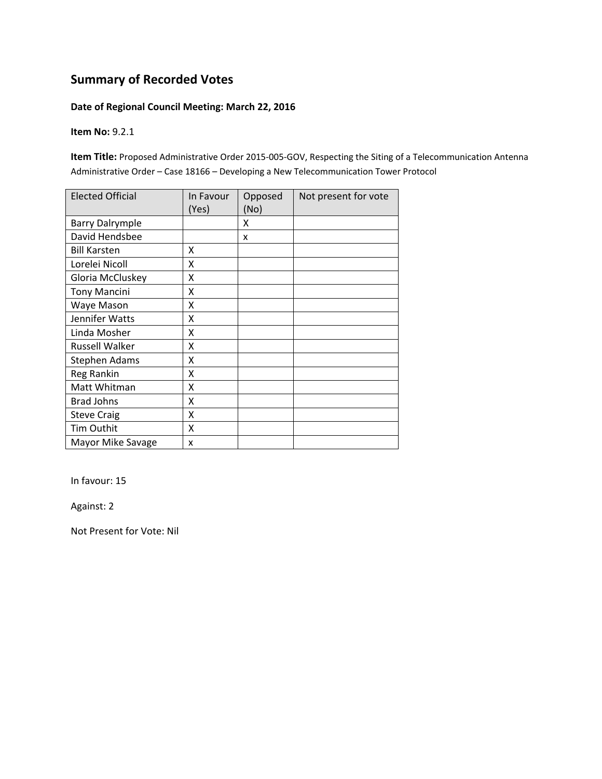### **Date of Regional Council Meeting: March 22, 2016**

**Item No:** 9.2.1

**Item Title:** Proposed Administrative Order 2015‐005‐GOV, Respecting the Siting of a Telecommunication Antenna Administrative Order – Case 18166 – Developing a New Telecommunication Tower Protocol

| <b>Elected Official</b> | In Favour<br>(Yes) | Opposed<br>(No) | Not present for vote |
|-------------------------|--------------------|-----------------|----------------------|
| <b>Barry Dalrymple</b>  |                    | X               |                      |
| David Hendsbee          |                    | X               |                      |
| <b>Bill Karsten</b>     | X                  |                 |                      |
| Lorelei Nicoll          | x                  |                 |                      |
| Gloria McCluskey        | X                  |                 |                      |
| <b>Tony Mancini</b>     | X                  |                 |                      |
| Waye Mason              | x                  |                 |                      |
| Jennifer Watts          | X                  |                 |                      |
| Linda Mosher            | Χ                  |                 |                      |
| <b>Russell Walker</b>   | X                  |                 |                      |
| Stephen Adams           | x                  |                 |                      |
| <b>Reg Rankin</b>       | Χ                  |                 |                      |
| Matt Whitman            | X                  |                 |                      |
| <b>Brad Johns</b>       | X                  |                 |                      |
| <b>Steve Craig</b>      | X                  |                 |                      |
| Tim Outhit              | X                  |                 |                      |
| Mayor Mike Savage       | x                  |                 |                      |

In favour: 15

Against: 2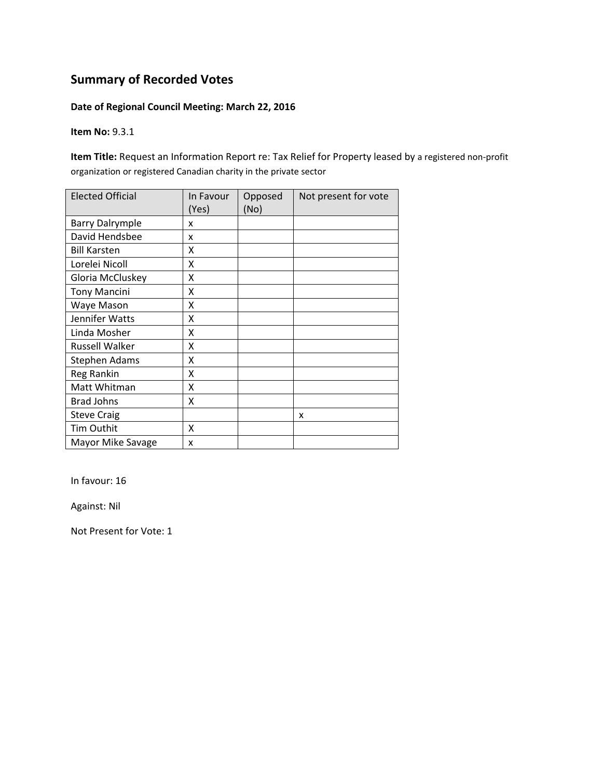### **Date of Regional Council Meeting: March 22, 2016**

**Item No:** 9.3.1

**Item Title:** Request an Information Report re: Tax Relief for Property leased by a registered non‐profit organization or registered Canadian charity in the private sector

| <b>Elected Official</b> | In Favour<br>(Yes) | Opposed<br>(No) | Not present for vote |
|-------------------------|--------------------|-----------------|----------------------|
| <b>Barry Dalrymple</b>  | x                  |                 |                      |
| David Hendsbee          | x                  |                 |                      |
| <b>Bill Karsten</b>     | x                  |                 |                      |
| Lorelei Nicoll          | Χ                  |                 |                      |
| Gloria McCluskey        | X                  |                 |                      |
| <b>Tony Mancini</b>     | X                  |                 |                      |
| Waye Mason              | X                  |                 |                      |
| Jennifer Watts          | Χ                  |                 |                      |
| Linda Mosher            | X                  |                 |                      |
| Russell Walker          | X                  |                 |                      |
| <b>Stephen Adams</b>    | x                  |                 |                      |
| Reg Rankin              | Χ                  |                 |                      |
| Matt Whitman            | Χ                  |                 |                      |
| <b>Brad Johns</b>       | Χ                  |                 |                      |
| <b>Steve Craig</b>      |                    |                 | X                    |
| Tim Outhit              | X                  |                 |                      |
| Mayor Mike Savage       | x                  |                 |                      |

In favour: 16

Against: Nil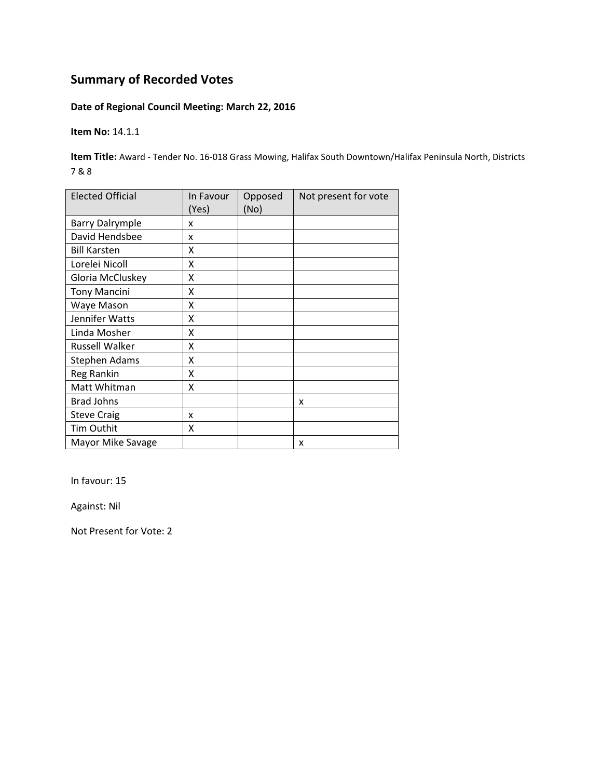### **Date of Regional Council Meeting: March 22, 2016**

**Item No:** 14.1.1

**Item Title:** Award ‐ Tender No. 16‐018 Grass Mowing, Halifax South Downtown/Halifax Peninsula North, Districts 7 & 8

| <b>Elected Official</b> | In Favour<br>(Yes) | Opposed<br>(No) | Not present for vote |
|-------------------------|--------------------|-----------------|----------------------|
| <b>Barry Dalrymple</b>  | x                  |                 |                      |
| David Hendsbee          | x                  |                 |                      |
| <b>Bill Karsten</b>     | x                  |                 |                      |
| Lorelei Nicoll          | Χ                  |                 |                      |
| Gloria McCluskey        | X                  |                 |                      |
| <b>Tony Mancini</b>     | X                  |                 |                      |
| Waye Mason              | X                  |                 |                      |
| Jennifer Watts          | Χ                  |                 |                      |
| Linda Mosher            | X                  |                 |                      |
| Russell Walker          | X                  |                 |                      |
| <b>Stephen Adams</b>    | x                  |                 |                      |
| Reg Rankin              | Χ                  |                 |                      |
| Matt Whitman            | Χ                  |                 |                      |
| <b>Brad Johns</b>       |                    |                 | x                    |
| <b>Steve Craig</b>      | x                  |                 |                      |
| Tim Outhit              | X                  |                 |                      |
| Mayor Mike Savage       |                    |                 | x                    |

In favour: 15

Against: Nil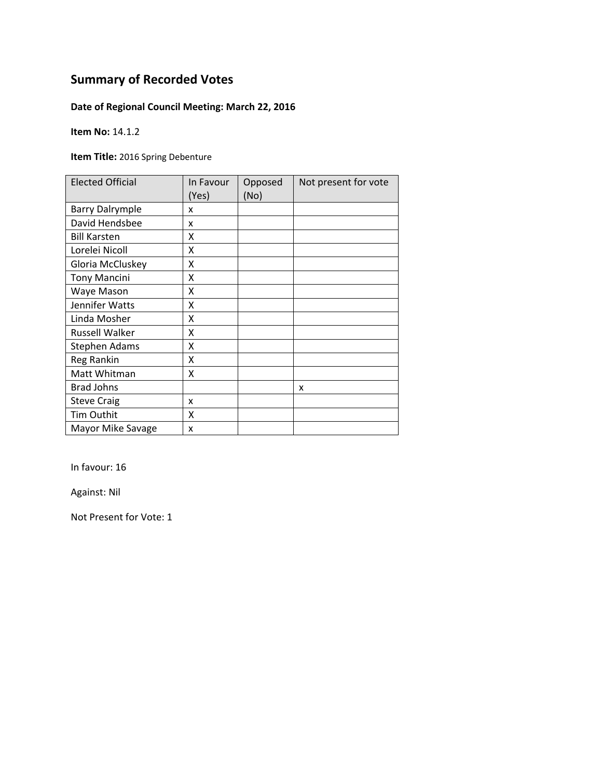## **Date of Regional Council Meeting: March 22, 2016**

**Item No:** 14.1.2

**Item Title:** 2016 Spring Debenture

| <b>Elected Official</b> | In Favour<br>(Yes) | Opposed<br>(No) | Not present for vote |
|-------------------------|--------------------|-----------------|----------------------|
| <b>Barry Dalrymple</b>  | x                  |                 |                      |
| David Hendsbee          | x                  |                 |                      |
| <b>Bill Karsten</b>     | x                  |                 |                      |
| Lorelei Nicoll          | x                  |                 |                      |
| Gloria McCluskey        | X                  |                 |                      |
| <b>Tony Mancini</b>     | Χ                  |                 |                      |
| Waye Mason              | X                  |                 |                      |
| Jennifer Watts          | Χ                  |                 |                      |
| Linda Mosher            | X                  |                 |                      |
| <b>Russell Walker</b>   | x                  |                 |                      |
| <b>Stephen Adams</b>    | X                  |                 |                      |
| Reg Rankin              | X                  |                 |                      |
| Matt Whitman            | X                  |                 |                      |
| <b>Brad Johns</b>       |                    |                 | x                    |
| <b>Steve Craig</b>      | x                  |                 |                      |
| Tim Outhit              | X                  |                 |                      |
| Mayor Mike Savage       | X                  |                 |                      |

In favour: 16

Against: Nil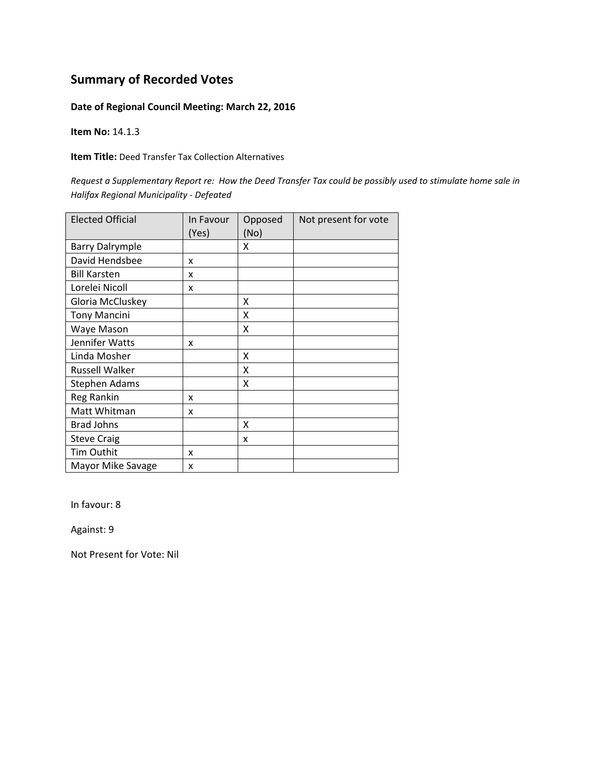### **Date of Regional Council Meeting: March 22, 2016**

**Item No:** 14.1.3

**Item Title:** Deed Transfer Tax Collection Alternatives

Request a Supplementary Report re: How the Deed Transfer Tax could be possibly used to stimulate home sale in *Halifax Regional Municipality ‐ Defeated*

| <b>Elected Official</b> | In Favour<br>(Yes) | Opposed<br>(No) | Not present for vote |
|-------------------------|--------------------|-----------------|----------------------|
| <b>Barry Dalrymple</b>  |                    | Χ               |                      |
| David Hendsbee          | x                  |                 |                      |
| <b>Bill Karsten</b>     | x                  |                 |                      |
| Lorelei Nicoll          | x                  |                 |                      |
| Gloria McCluskey        |                    | x               |                      |
| <b>Tony Mancini</b>     |                    | x               |                      |
| Waye Mason              |                    | Χ               |                      |
| Jennifer Watts          | x                  |                 |                      |
| Linda Mosher            |                    | Χ               |                      |
| Russell Walker          |                    | x               |                      |
| <b>Stephen Adams</b>    |                    | x               |                      |
| Reg Rankin              | x                  |                 |                      |
| Matt Whitman            | x                  |                 |                      |
| <b>Brad Johns</b>       |                    | X               |                      |
| <b>Steve Craig</b>      |                    | x               |                      |
| Tim Outhit              | x                  |                 |                      |
| Mayor Mike Savage       | x                  |                 |                      |

In favour: 8

Against: 9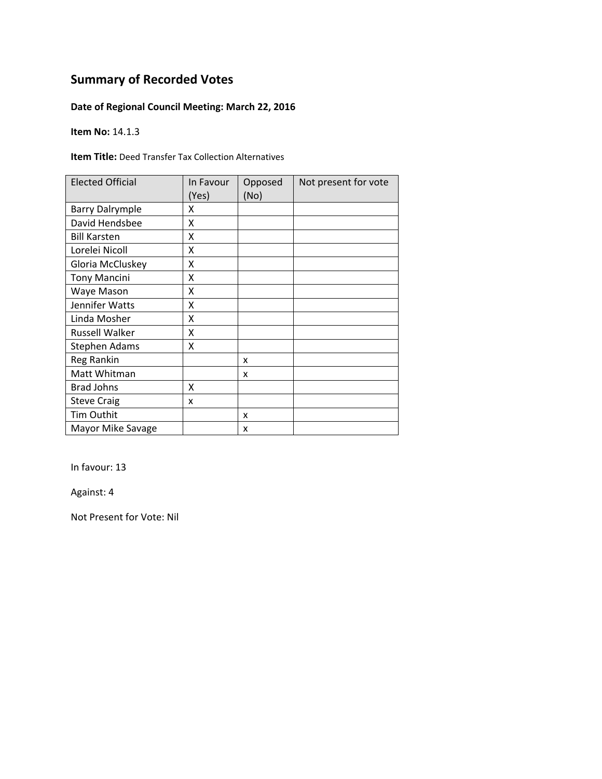## **Date of Regional Council Meeting: March 22, 2016**

**Item No:** 14.1.3

**Item Title:** Deed Transfer Tax Collection Alternatives

| <b>Elected Official</b> | In Favour<br>(Yes) | Opposed<br>(No) | Not present for vote |
|-------------------------|--------------------|-----------------|----------------------|
| <b>Barry Dalrymple</b>  | x                  |                 |                      |
| David Hendsbee          | X                  |                 |                      |
| <b>Bill Karsten</b>     | x                  |                 |                      |
| Lorelei Nicoll          | X                  |                 |                      |
| Gloria McCluskey        | Χ                  |                 |                      |
| <b>Tony Mancini</b>     | X                  |                 |                      |
| Waye Mason              | x                  |                 |                      |
| Jennifer Watts          | Χ                  |                 |                      |
| Linda Mosher            | X                  |                 |                      |
| <b>Russell Walker</b>   | X                  |                 |                      |
| <b>Stephen Adams</b>    | X                  |                 |                      |
| Reg Rankin              |                    | x               |                      |
| Matt Whitman            |                    | x               |                      |
| <b>Brad Johns</b>       | x                  |                 |                      |
| <b>Steve Craig</b>      | x                  |                 |                      |
| Tim Outhit              |                    | X               |                      |
| Mayor Mike Savage       |                    | x               |                      |

In favour: 13

Against: 4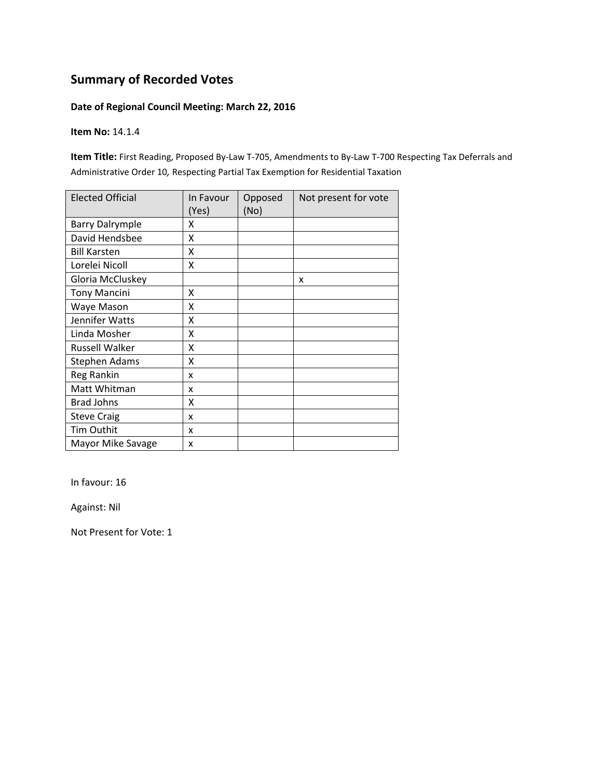### **Date of Regional Council Meeting: March 22, 2016**

**Item No:** 14.1.4

**Item Title:** First Reading, Proposed By‐Law T‐705, Amendments to By‐Law T‐700 Respecting Tax Deferrals and Administrative Order 10*,* Respecting Partial Tax Exemption for Residential Taxation

| <b>Elected Official</b> | In Favour<br>(Yes) | Opposed<br>(No) | Not present for vote |
|-------------------------|--------------------|-----------------|----------------------|
| <b>Barry Dalrymple</b>  | x                  |                 |                      |
| David Hendsbee          | x                  |                 |                      |
| <b>Bill Karsten</b>     | X                  |                 |                      |
| Lorelei Nicoll          | Χ                  |                 |                      |
| Gloria McCluskey        |                    |                 | x                    |
| <b>Tony Mancini</b>     | x                  |                 |                      |
| Waye Mason              | Χ                  |                 |                      |
| Jennifer Watts          | Χ                  |                 |                      |
| Linda Mosher            | X                  |                 |                      |
| <b>Russell Walker</b>   | Χ                  |                 |                      |
| <b>Stephen Adams</b>    | Χ                  |                 |                      |
| Reg Rankin              | x                  |                 |                      |
| Matt Whitman            | x                  |                 |                      |
| <b>Brad Johns</b>       | Χ                  |                 |                      |
| <b>Steve Craig</b>      | x                  |                 |                      |
| Tim Outhit              | x                  |                 |                      |
| Mayor Mike Savage       | x                  |                 |                      |

In favour: 16

Against: Nil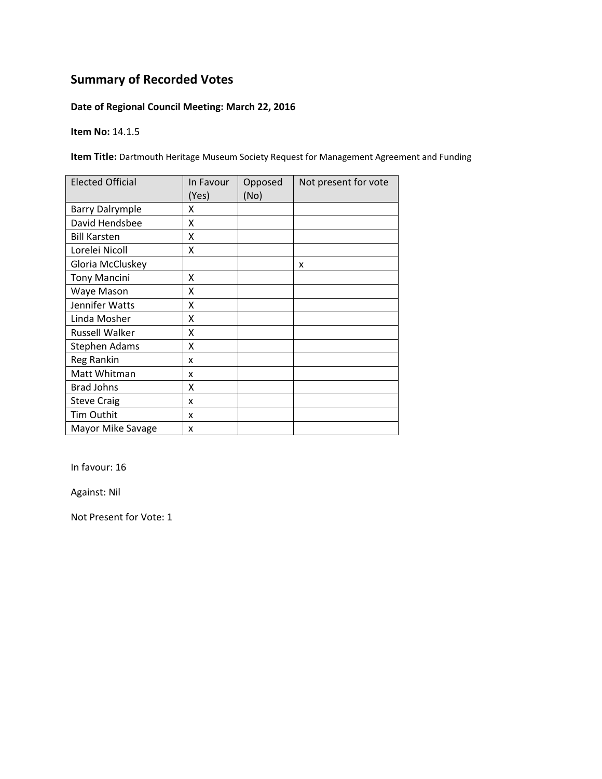## **Date of Regional Council Meeting: March 22, 2016**

**Item No:** 14.1.5

**Item Title:** Dartmouth Heritage Museum Society Request for Management Agreement and Funding

| <b>Elected Official</b> | In Favour<br>(Yes) | Opposed<br>(No) | Not present for vote |
|-------------------------|--------------------|-----------------|----------------------|
| <b>Barry Dalrymple</b>  | x                  |                 |                      |
| David Hendsbee          | x                  |                 |                      |
| <b>Bill Karsten</b>     | x                  |                 |                      |
| Lorelei Nicoll          | Χ                  |                 |                      |
| Gloria McCluskey        |                    |                 | X                    |
| <b>Tony Mancini</b>     | x                  |                 |                      |
| Waye Mason              | Χ                  |                 |                      |
| Jennifer Watts          | x                  |                 |                      |
| Linda Mosher            | x                  |                 |                      |
| Russell Walker          | x                  |                 |                      |
| <b>Stephen Adams</b>    | X                  |                 |                      |
| Reg Rankin              | x                  |                 |                      |
| Matt Whitman            | x                  |                 |                      |
| <b>Brad Johns</b>       | X                  |                 |                      |
| <b>Steve Craig</b>      | x                  |                 |                      |
| Tim Outhit              | x                  |                 |                      |
| Mayor Mike Savage       | X                  |                 |                      |

In favour: 16

Against: Nil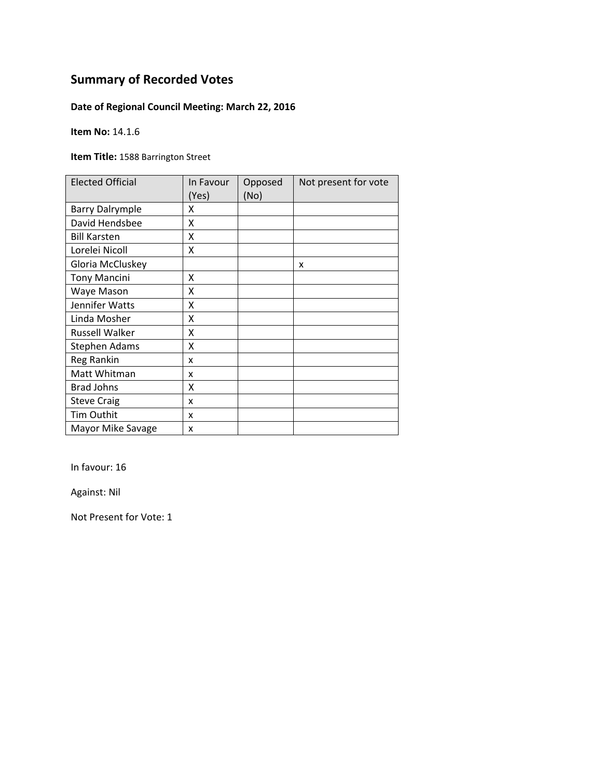## **Date of Regional Council Meeting: March 22, 2016**

**Item No:** 14.1.6

**Item Title:** 1588 Barrington Street

| <b>Elected Official</b> | In Favour<br>(Yes) | Opposed<br>(No) | Not present for vote |
|-------------------------|--------------------|-----------------|----------------------|
| <b>Barry Dalrymple</b>  | χ                  |                 |                      |
| David Hendsbee          | Χ                  |                 |                      |
| <b>Bill Karsten</b>     | X                  |                 |                      |
| Lorelei Nicoll          | x                  |                 |                      |
| Gloria McCluskey        |                    |                 | x                    |
| <b>Tony Mancini</b>     | x                  |                 |                      |
| Waye Mason              | Χ                  |                 |                      |
| Jennifer Watts          | Χ                  |                 |                      |
| Linda Mosher            | Χ                  |                 |                      |
| <b>Russell Walker</b>   | Χ                  |                 |                      |
| <b>Stephen Adams</b>    | Χ                  |                 |                      |
| <b>Reg Rankin</b>       | x                  |                 |                      |
| Matt Whitman            | x                  |                 |                      |
| <b>Brad Johns</b>       | χ                  |                 |                      |
| <b>Steve Craig</b>      | x                  |                 |                      |
| Tim Outhit              | x                  |                 |                      |
| Mayor Mike Savage       | x                  |                 |                      |

In favour: 16

Against: Nil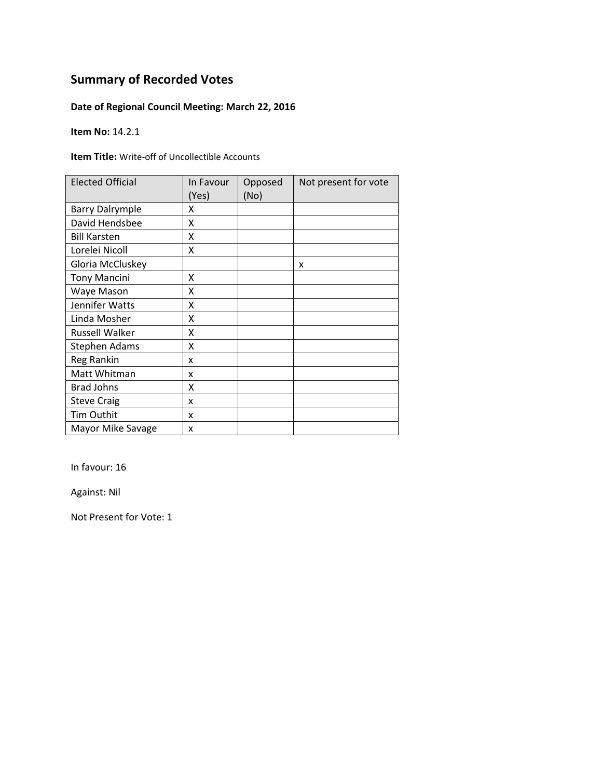## **Date of Regional Council Meeting: March 22, 2016**

**Item No:** 14.2.1

**Item Title:** Write‐off of Uncollectible Accounts

| <b>Elected Official</b> | In Favour<br>(Yes) | Opposed<br>(No) | Not present for vote |
|-------------------------|--------------------|-----------------|----------------------|
| <b>Barry Dalrymple</b>  | x                  |                 |                      |
| David Hendsbee          | X                  |                 |                      |
| <b>Bill Karsten</b>     | x                  |                 |                      |
| Lorelei Nicoll          | X                  |                 |                      |
| Gloria McCluskey        |                    |                 | X                    |
| <b>Tony Mancini</b>     | x                  |                 |                      |
| Waye Mason              | Χ                  |                 |                      |
| Jennifer Watts          | x                  |                 |                      |
| Linda Mosher            | x                  |                 |                      |
| <b>Russell Walker</b>   | χ                  |                 |                      |
| <b>Stephen Adams</b>    | x                  |                 |                      |
| Reg Rankin              | x                  |                 |                      |
| Matt Whitman            | x                  |                 |                      |
| <b>Brad Johns</b>       | Χ                  |                 |                      |
| <b>Steve Craig</b>      | x                  |                 |                      |
| <b>Tim Outhit</b>       | x                  |                 |                      |
| Mayor Mike Savage       | X                  |                 |                      |

In favour: 16

Against: Nil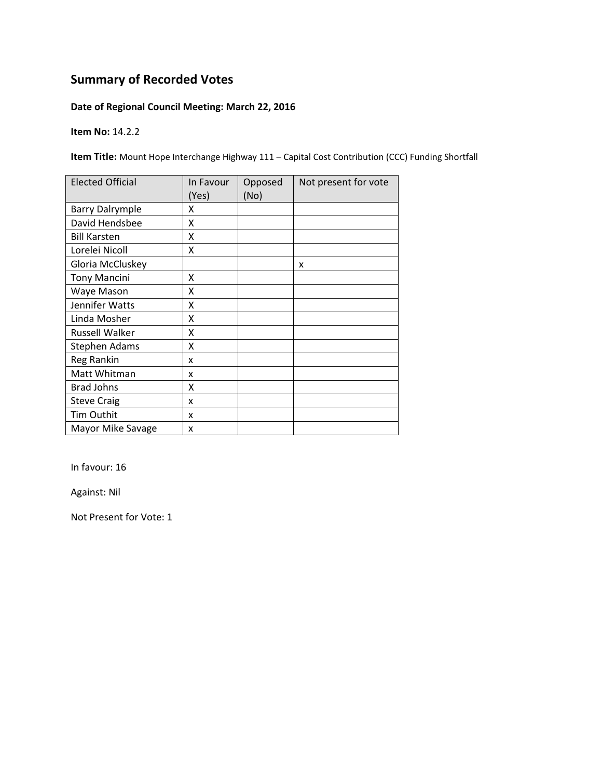## **Date of Regional Council Meeting: March 22, 2016**

**Item No:** 14.2.2

**Item Title:** Mount Hope Interchange Highway 111 – Capital Cost Contribution (CCC) Funding Shortfall

| <b>Elected Official</b> | In Favour<br>(Yes) | Opposed<br>(No) | Not present for vote |
|-------------------------|--------------------|-----------------|----------------------|
| <b>Barry Dalrymple</b>  | x                  |                 |                      |
| David Hendsbee          | X                  |                 |                      |
| <b>Bill Karsten</b>     | X                  |                 |                      |
| Lorelei Nicoll          | X                  |                 |                      |
| Gloria McCluskey        |                    |                 | x                    |
| <b>Tony Mancini</b>     | X                  |                 |                      |
| Waye Mason              | x                  |                 |                      |
| Jennifer Watts          | x                  |                 |                      |
| Linda Mosher            | X                  |                 |                      |
| Russell Walker          | X                  |                 |                      |
| <b>Stephen Adams</b>    | X                  |                 |                      |
| Reg Rankin              | x                  |                 |                      |
| Matt Whitman            | x                  |                 |                      |
| <b>Brad Johns</b>       | X                  |                 |                      |
| <b>Steve Craig</b>      | x                  |                 |                      |
| Tim Outhit              | x                  |                 |                      |
| Mayor Mike Savage       | x                  |                 |                      |

In favour: 16

Against: Nil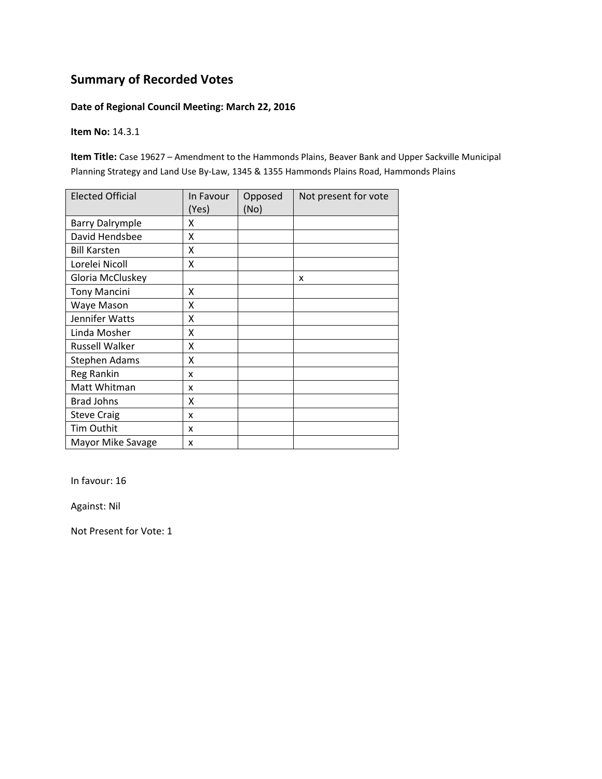### **Date of Regional Council Meeting: March 22, 2016**

**Item No:** 14.3.1

**Item Title:** Case 19627 – Amendment to the Hammonds Plains, Beaver Bank and Upper Sackville Municipal Planning Strategy and Land Use By‐Law, 1345 & 1355 Hammonds Plains Road, Hammonds Plains

| <b>Elected Official</b> | In Favour<br>(Yes) | Opposed<br>(No) | Not present for vote |
|-------------------------|--------------------|-----------------|----------------------|
| <b>Barry Dalrymple</b>  | x                  |                 |                      |
| David Hendsbee          | Χ                  |                 |                      |
| <b>Bill Karsten</b>     | Χ                  |                 |                      |
| Lorelei Nicoll          | X                  |                 |                      |
| Gloria McCluskey        |                    |                 | x                    |
| <b>Tony Mancini</b>     | x                  |                 |                      |
| Waye Mason              | Χ                  |                 |                      |
| Jennifer Watts          | Χ                  |                 |                      |
| Linda Mosher            | Χ                  |                 |                      |
| Russell Walker          | X                  |                 |                      |
| <b>Stephen Adams</b>    | χ                  |                 |                      |
| Reg Rankin              | x                  |                 |                      |
| Matt Whitman            | x                  |                 |                      |
| <b>Brad Johns</b>       | χ                  |                 |                      |
| <b>Steve Craig</b>      | x                  |                 |                      |
| Tim Outhit              | x                  |                 |                      |
| Mayor Mike Savage       | x                  |                 |                      |

In favour: 16

Against: Nil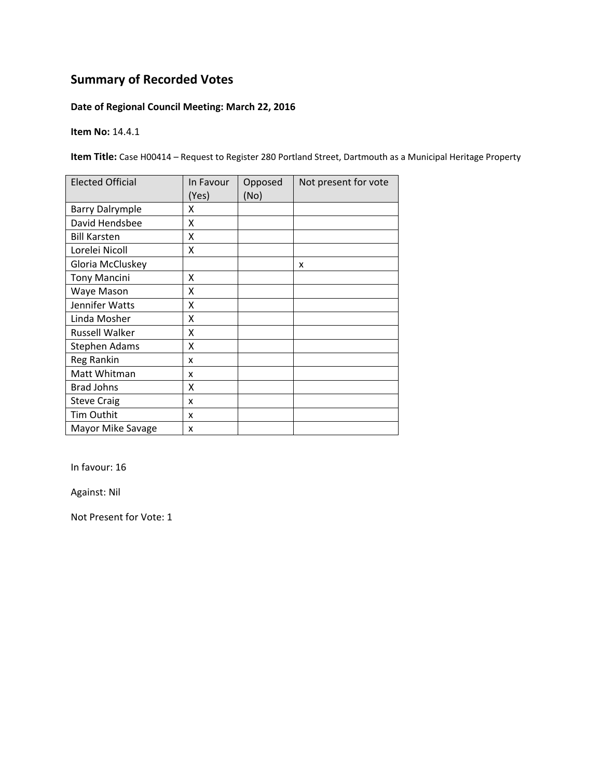## **Date of Regional Council Meeting: March 22, 2016**

**Item No:** 14.4.1

**Item Title:** Case H00414 – Request to Register 280 Portland Street, Dartmouth as a Municipal Heritage Property

| <b>Elected Official</b> | In Favour<br>(Yes) | Opposed<br>(No) | Not present for vote |
|-------------------------|--------------------|-----------------|----------------------|
| <b>Barry Dalrymple</b>  | x                  |                 |                      |
| David Hendsbee          | X                  |                 |                      |
| <b>Bill Karsten</b>     | Χ                  |                 |                      |
| Lorelei Nicoll          | X                  |                 |                      |
| Gloria McCluskey        |                    |                 | x                    |
| <b>Tony Mancini</b>     | X                  |                 |                      |
| Waye Mason              | x                  |                 |                      |
| Jennifer Watts          | X                  |                 |                      |
| Linda Mosher            | X                  |                 |                      |
| Russell Walker          | X                  |                 |                      |
| <b>Stephen Adams</b>    | Χ                  |                 |                      |
| Reg Rankin              | x                  |                 |                      |
| Matt Whitman            | x                  |                 |                      |
| <b>Brad Johns</b>       | Χ                  |                 |                      |
| <b>Steve Craig</b>      | x                  |                 |                      |
| Tim Outhit              | x                  |                 |                      |
| Mayor Mike Savage       | X                  |                 |                      |

In favour: 16

Against: Nil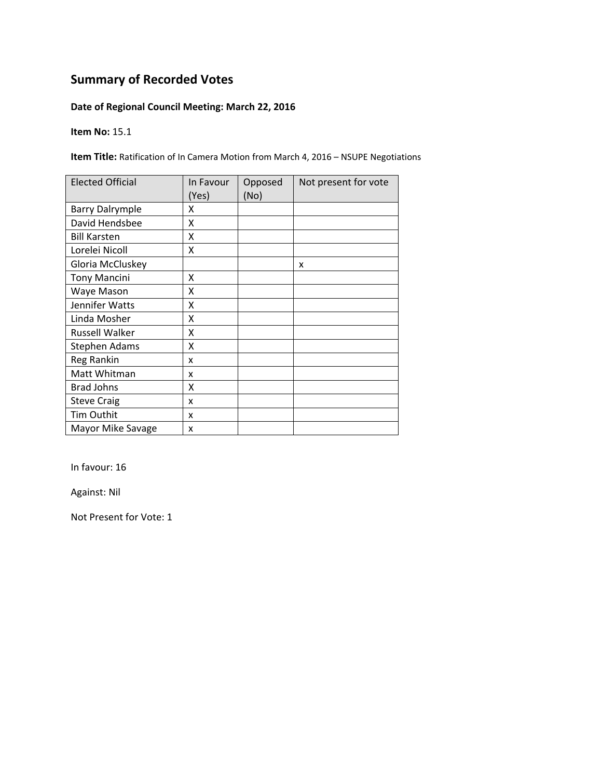## **Date of Regional Council Meeting: March 22, 2016**

**Item No:** 15.1

**Item Title:** Ratification of In Camera Motion from March 4, 2016 – NSUPE Negotiations

| <b>Elected Official</b> | In Favour<br>(Yes) | Opposed<br>(No) | Not present for vote |
|-------------------------|--------------------|-----------------|----------------------|
| <b>Barry Dalrymple</b>  | x                  |                 |                      |
| David Hendsbee          | χ                  |                 |                      |
| <b>Bill Karsten</b>     | χ                  |                 |                      |
| Lorelei Nicoll          | X                  |                 |                      |
| Gloria McCluskey        |                    |                 | X                    |
| <b>Tony Mancini</b>     | Χ                  |                 |                      |
| Waye Mason              | Χ                  |                 |                      |
| Jennifer Watts          | Χ                  |                 |                      |
| Linda Mosher            | χ                  |                 |                      |
| Russell Walker          | χ                  |                 |                      |
| Stephen Adams           | χ                  |                 |                      |
| Reg Rankin              | x                  |                 |                      |
| Matt Whitman            | x                  |                 |                      |
| <b>Brad Johns</b>       | Χ                  |                 |                      |
| <b>Steve Craig</b>      | x                  |                 |                      |
| Tim Outhit              | x                  |                 |                      |
| Mayor Mike Savage       | x                  |                 |                      |

In favour: 16

Against: Nil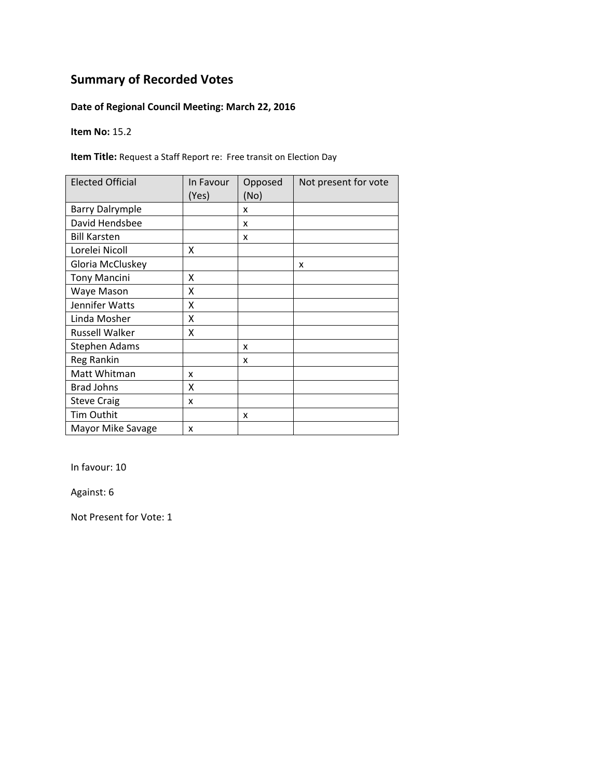## **Date of Regional Council Meeting: March 22, 2016**

**Item No:** 15.2

**Item Title:** Request a Staff Report re: Free transit on Election Day

| <b>Elected Official</b> | In Favour<br>(Yes) | Opposed<br>(No) | Not present for vote |
|-------------------------|--------------------|-----------------|----------------------|
| <b>Barry Dalrymple</b>  |                    | x               |                      |
| David Hendsbee          |                    | x               |                      |
| <b>Bill Karsten</b>     |                    | x               |                      |
| Lorelei Nicoll          | Χ                  |                 |                      |
| Gloria McCluskey        |                    |                 | x                    |
| <b>Tony Mancini</b>     | X                  |                 |                      |
| Waye Mason              | Χ                  |                 |                      |
| Jennifer Watts          | Χ                  |                 |                      |
| Linda Mosher            | Χ                  |                 |                      |
| <b>Russell Walker</b>   | Χ                  |                 |                      |
| Stephen Adams           |                    | x               |                      |
| Reg Rankin              |                    | x               |                      |
| Matt Whitman            | x                  |                 |                      |
| <b>Brad Johns</b>       | Χ                  |                 |                      |
| <b>Steve Craig</b>      | x                  |                 |                      |
| <b>Tim Outhit</b>       |                    | x               |                      |
| Mayor Mike Savage       | X                  |                 |                      |

In favour: 10

Against: 6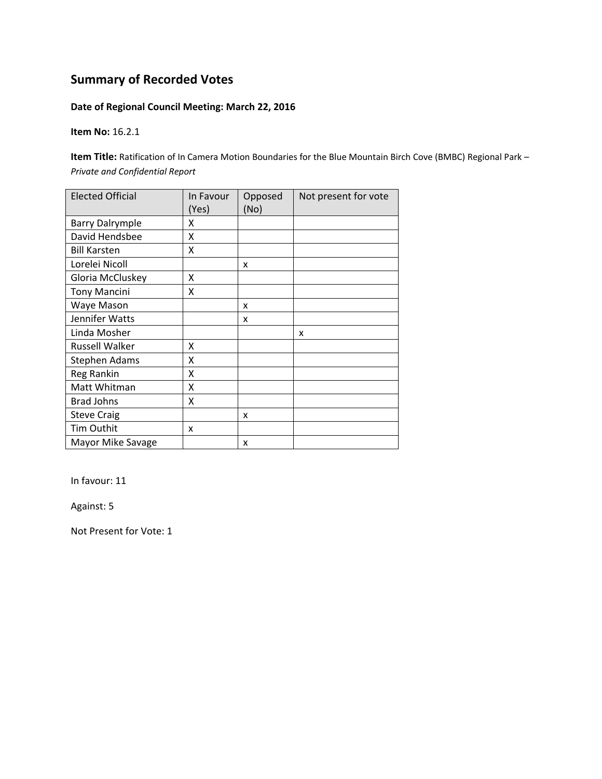### **Date of Regional Council Meeting: March 22, 2016**

**Item No:** 16.2.1

**Item Title:** Ratification of In Camera Motion Boundaries for the Blue Mountain Birch Cove (BMBC) Regional Park *– Private and Confidential Report*

| <b>Elected Official</b> | In Favour<br>(Yes) | Opposed<br>(No) | Not present for vote |
|-------------------------|--------------------|-----------------|----------------------|
| <b>Barry Dalrymple</b>  | x                  |                 |                      |
| David Hendsbee          | x                  |                 |                      |
| <b>Bill Karsten</b>     | X                  |                 |                      |
| Lorelei Nicoll          |                    | x               |                      |
| Gloria McCluskey        | χ                  |                 |                      |
| <b>Tony Mancini</b>     | Χ                  |                 |                      |
| Waye Mason              |                    | x               |                      |
| Jennifer Watts          |                    | x               |                      |
| Linda Mosher            |                    |                 | X                    |
| <b>Russell Walker</b>   | x                  |                 |                      |
| <b>Stephen Adams</b>    | Χ                  |                 |                      |
| <b>Reg Rankin</b>       | Χ                  |                 |                      |
| Matt Whitman            | X                  |                 |                      |
| <b>Brad Johns</b>       | Χ                  |                 |                      |
| <b>Steve Craig</b>      |                    | x               |                      |
| Tim Outhit              | x                  |                 |                      |
| Mayor Mike Savage       |                    | x               |                      |

In favour: 11

Against: 5